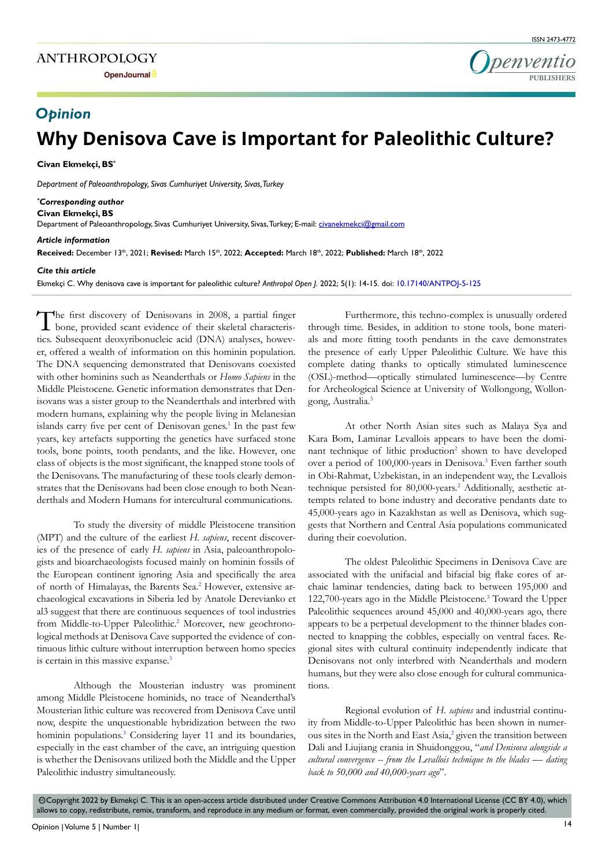**Open Journal**



# **Why Denisova Cave is Important for Paleolithic Culture?** *Opinion*

**Civan Ekmekçi, BS\***

*Department of Paleoanthropology, Sivas Cumhuriyet University, Sivas, Turkey*

#### *\* Corresponding author* **Civan Ekmekçi, BS**

Department of Paleoanthropology, Sivas Cumhuriyet University, Sivas, Turkey; E-mail: civanekmekci@gmail.com

#### *Article information*

**Received:** December 13th, 2021; **Revised:** March 15th, 2022; **Accepted:** March 18th, 2022; **Published:** March 18th, 2022

#### *Cite this article*

Ekmekçi C. Why denisova cave is important for paleolithic culture? *Anthropol Open J*. 2022; 5(1): 14-15. doi: [10.17140/ANTPOJ-5-125](
http://dx.doi.org/10.17140/ANTPOJ-5-125)

The first discovery of Denisovans in 2008, a partial finger bone, provided scant evidence of their skeletal characteristics. Subsequent deoxyribonucleic acid (DNA) analyses, however, offered a wealth of information on this hominin population. The DNA sequencing demonstrated that Denisovans coexisted with other hominins such as Neanderthals or *Homo Sapiens* in the Middle Pleistocene. Genetic information demonstrates that Denisovans was a sister group to the Neanderthals and interbred with modern humans, explaining why the people living in Melanesian islands carry five per cent of Denisovan genes.<sup>[1](#page-1-0)</sup> In the past few years, key artefacts supporting the genetics have surfaced stone tools, bone points, tooth pendants, and the like. However, one class of objects is the most significant, the knapped stone tools of the Denisovans. The manufacturing of these tools clearly demonstrates that the Denisovans had been close enough to both Neanderthals and Modern Humans for intercultural communications.

To study the diversity of middle Pleistocene transition (MPT) and the culture of the earliest *H. sapiens*, recent discoveries of the presence of early *H. sapiens* in Asia, paleoanthropologists and bioarchaeologists focused mainly on hominin fossils of the European continent ignoring Asia and specifically the area of north of Himalayas, the Barents Sea.<sup>[2](#page-1-1)</sup> However, extensive archaeological excavations in Siberia led by Anatole Derevianko et al3 suggest that there are continuous sequences of tool industries from Middle-to-Upper Paleolithic.<sup>2</sup> Moreover, new geochronological methods at Denisova Cave supported the evidence of continuous lithic culture without interruption between homo species is certain in this massive expanse.<sup>3</sup>

Although the Mousterian industry was prominent among Middle Pleistocene hominids, no trace of Neanderthal's Mousterian lithic culture was recovered from Denisova Cave until now, despite the unquestionable hybridization between the two hominin populations.<sup>[3](#page-1-2)</sup> Considering layer 11 and its boundaries, especially in the east chamber of the cave, an intriguing question is whether the Denisovans utilized both the Middle and the Upper Paleolithic industry simultaneously.

Furthermore, this techno-complex is unusually ordered through time. Besides, in addition to stone tools, bone materials and more fitting tooth pendants in the cave demonstrates the presence of early Upper Paleolithic Culture. We have this complete dating thanks to optically stimulated luminescence (OSL)-method—optically stimulated luminescence—by Centre for Archeological Science at University of Wollongong, Wollon-gong, Australia.<sup>[3](#page-1-2)</sup>

At other North Asian sites such as Malaya Sya and Kara Bom, Laminar Levallois appears to have been the domi-nant technique of lithic production<sup>[2](#page-1-1)</sup> shown to have developed over a period of 100,000-years in Denisova.<sup>3</sup> Even farther south in Obi-Rahmat, Uzbekistan, in an independent way, the Levallois technique persisted for 80,000-years.<sup>2</sup> Additionally, aesthetic attempts related to bone industry and decorative pendants date to 45,000-years ago in Kazakhstan as well as Denisova, which suggests that Northern and Central Asia populations communicated during their coevolution.

The oldest Paleolithic Specimens in Denisova Cave are associated with the unifacial and bifacial big flake cores of archaic laminar tendencies, dating back to between 195,000 and 122,700-years ago in the Middle Pleistocene.<sup>[3](#page-1-2)</sup> Toward the Upper Paleolithic sequences around 45,000 and 40,000-years ago, there appears to be a perpetual development to the thinner blades connected to knapping the cobbles, especially on ventral faces. Regional sites with cultural continuity independently indicate that Denisovans not only interbred with Neanderthals and modern humans, but they were also close enough for cultural communications.

Regional evolution of *H. sapiens* and industrial continuity from Middle-to-Upper Paleolithic has been shown in numerous sites in the North and East Asia,<sup>2</sup> given the transition between Dali and Liujiang crania in Shuidonggou, "*and Denisova alongside a cultural convergence -- from the Levallois technique to the blades — dating back to 50,000 and 40,000-years ago*".

 Copyright 2022 by Ekmekçi C. This is an open-access article distributed under Creative Commons Attribution 4.0 International License (CC BY 4.0), which cc allows to copy, redistribute, remix, transform, and reproduce in any medium or format, even commercially, provided the original work is properly cited.